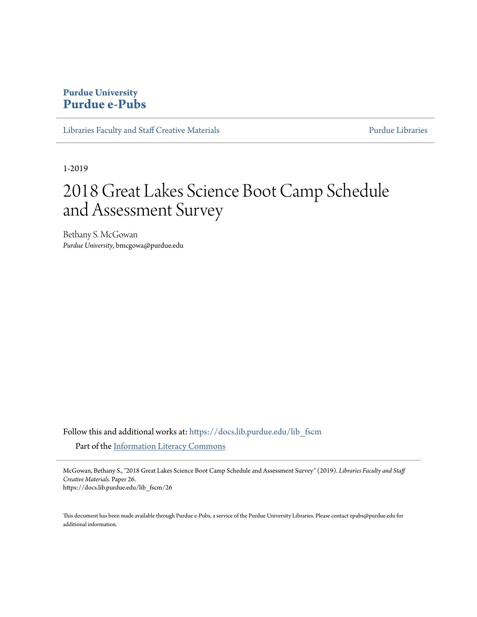## **Purdue University [Purdue e-Pubs](https://docs.lib.purdue.edu?utm_source=docs.lib.purdue.edu%2Flib_fscm%2F26&utm_medium=PDF&utm_campaign=PDFCoverPages)**

[Libraries Faculty and Staff Creative Materials](https://docs.lib.purdue.edu/lib_fscm?utm_source=docs.lib.purdue.edu%2Flib_fscm%2F26&utm_medium=PDF&utm_campaign=PDFCoverPages) **[Purdue Libraries](https://docs.lib.purdue.edu/libraries?utm_source=docs.lib.purdue.edu%2Flib_fscm%2F26&utm_medium=PDF&utm_campaign=PDFCoverPages)** Purdue Libraries

1-2019

## 2018 Great Lakes Science Boot Camp Schedule and Assessment Survey

Bethany S. McGowan *Purdue University*, bmcgowa@purdue.edu

Follow this and additional works at: [https://docs.lib.purdue.edu/lib\\_fscm](https://docs.lib.purdue.edu/lib_fscm?utm_source=docs.lib.purdue.edu%2Flib_fscm%2F26&utm_medium=PDF&utm_campaign=PDFCoverPages) Part of the [Information Literacy Commons](http://network.bepress.com/hgg/discipline/1243?utm_source=docs.lib.purdue.edu%2Flib_fscm%2F26&utm_medium=PDF&utm_campaign=PDFCoverPages)

McGowan, Bethany S., "2018 Great Lakes Science Boot Camp Schedule and Assessment Survey" (2019). *Libraries Faculty and Staff Creative Materials.* Paper 26. https://docs.lib.purdue.edu/lib\_fscm/26

This document has been made available through Purdue e-Pubs, a service of the Purdue University Libraries. Please contact epubs@purdue.edu for additional information.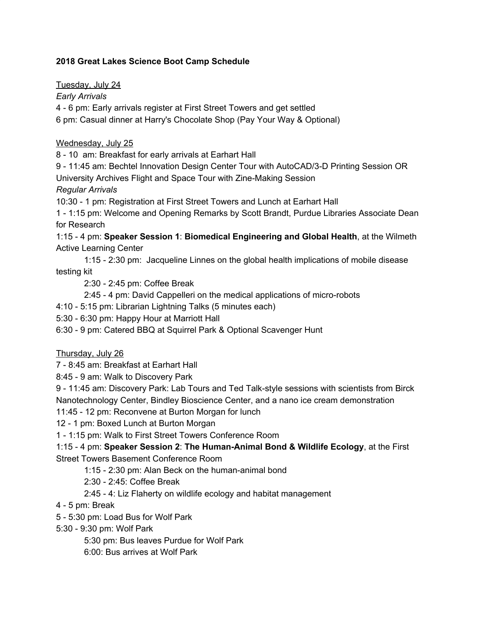## **2018 Great Lakes Science Boot Camp Schedule**

Tuesday, July 24 *Early Arrivals* 4 - 6 pm: Early arrivals register at First Street Towers and get settled 6 pm: Casual dinner at Harry's Chocolate Shop (Pay Your Way & Optional)

## Wednesday, July 25

8 - 10 am: Breakfast for early arrivals at Earhart Hall

9 - 11:45 am: Bechtel Innovation Design Center Tour with AutoCAD/3-D Printing Session OR University Archives Flight and Space Tour with Zine-Making Session *Regular Arrivals*

10:30 - 1 pm: Registration at First Street Towers and Lunch at Earhart Hall

1 - 1:15 pm: Welcome and Opening Remarks by Scott Brandt, Purdue Libraries Associate Dean for Research

1:15 - 4 pm: **Speaker Session 1**: **Biomedical Engineering and Global Health**, at the Wilmeth Active Learning Center

1:15 - 2:30 pm: Jacqueline Linnes on the global health implications of mobile disease testing kit

2:30 - 2:45 pm: Coffee Break

2:45 - 4 pm: David Cappelleri on the medical applications of micro-robots

4:10 - 5:15 pm: Librarian Lightning Talks (5 minutes each)

5:30 - 6:30 pm: Happy Hour at Marriott Hall

6:30 - 9 pm: Catered BBQ at Squirrel Park & Optional Scavenger Hunt

Thursday, July 26

7 - 8:45 am: Breakfast at Earhart Hall

8:45 - 9 am: Walk to Discovery Park

9 - 11:45 am: Discovery Park: Lab Tours and Ted Talk-style sessions with scientists from Birck Nanotechnology Center, Bindley Bioscience Center, and a nano ice cream demonstration

11:45 - 12 pm: Reconvene at Burton Morgan for lunch

12 - 1 pm: Boxed Lunch at Burton Morgan

1 - 1:15 pm: Walk to First Street Towers Conference Room

1:15 - 4 pm: **Speaker Session 2**: **The Human-Animal Bond & Wildlife Ecology**, at the First Street Towers Basement Conference Room

1:15 - 2:30 pm: Alan Beck on the human-animal bond

2:30 - 2:45: Coffee Break

2:45 - 4: Liz Flaherty on wildlife ecology and habitat management

- 4 5 pm: Break
- 5 5:30 pm: Load Bus for Wolf Park

5:30 - 9:30 pm: Wolf Park

5:30 pm: Bus leaves Purdue for Wolf Park

6:00: Bus arrives at Wolf Park